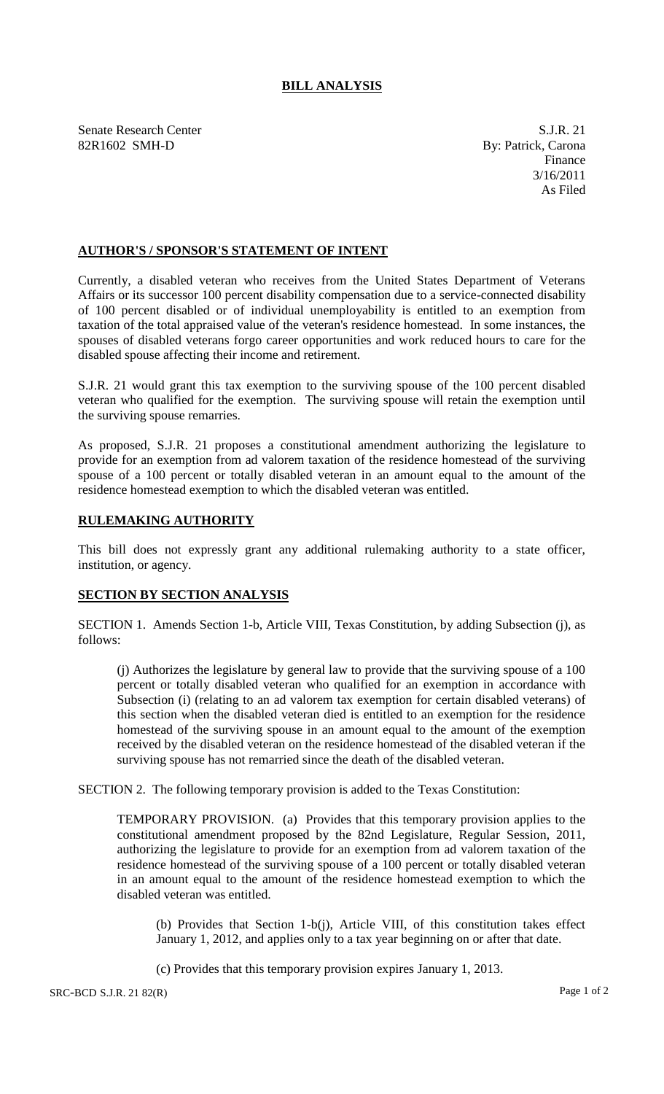## **BILL ANALYSIS**

Senate Research Center S.J.R. 21 82R1602 SMH-D By: Patrick, Carona

Finance 3/16/2011 As Filed

## **AUTHOR'S / SPONSOR'S STATEMENT OF INTENT**

Currently, a disabled veteran who receives from the United States Department of Veterans Affairs or its successor 100 percent disability compensation due to a service-connected disability of 100 percent disabled or of individual unemployability is entitled to an exemption from taxation of the total appraised value of the veteran's residence homestead. In some instances, the spouses of disabled veterans forgo career opportunities and work reduced hours to care for the disabled spouse affecting their income and retirement.

S.J.R. 21 would grant this tax exemption to the surviving spouse of the 100 percent disabled veteran who qualified for the exemption. The surviving spouse will retain the exemption until the surviving spouse remarries.

As proposed, S.J.R. 21 proposes a constitutional amendment authorizing the legislature to provide for an exemption from ad valorem taxation of the residence homestead of the surviving spouse of a 100 percent or totally disabled veteran in an amount equal to the amount of the residence homestead exemption to which the disabled veteran was entitled.

## **RULEMAKING AUTHORITY**

This bill does not expressly grant any additional rulemaking authority to a state officer, institution, or agency.

## **SECTION BY SECTION ANALYSIS**

SECTION 1. Amends Section 1-b, Article VIII, Texas Constitution, by adding Subsection (j), as follows:

(j) Authorizes the legislature by general law to provide that the surviving spouse of a 100 percent or totally disabled veteran who qualified for an exemption in accordance with Subsection (i) (relating to an ad valorem tax exemption for certain disabled veterans) of this section when the disabled veteran died is entitled to an exemption for the residence homestead of the surviving spouse in an amount equal to the amount of the exemption received by the disabled veteran on the residence homestead of the disabled veteran if the surviving spouse has not remarried since the death of the disabled veteran.

SECTION 2. The following temporary provision is added to the Texas Constitution:

TEMPORARY PROVISION. (a) Provides that this temporary provision applies to the constitutional amendment proposed by the 82nd Legislature, Regular Session, 2011, authorizing the legislature to provide for an exemption from ad valorem taxation of the residence homestead of the surviving spouse of a 100 percent or totally disabled veteran in an amount equal to the amount of the residence homestead exemption to which the disabled veteran was entitled.

(b) Provides that Section 1-b(j), Article VIII, of this constitution takes effect January 1, 2012, and applies only to a tax year beginning on or after that date.

(c) Provides that this temporary provision expires January 1, 2013.